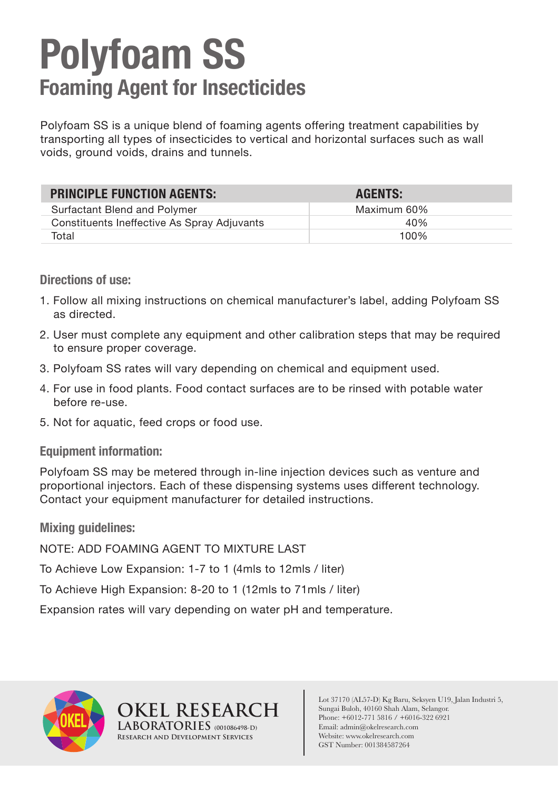## **Polyfoam SS Foaming Agent for Insecticides**

Polyfoam SS is a unique blend of foaming agents offering treatment capabilities by transporting all types of insecticides to vertical and horizontal surfaces such as wall voids, ground voids, drains and tunnels.

| <b>PRINCIPLE FUNCTION AGENTS:</b>           | <b>AGENTS:</b> |
|---------------------------------------------|----------------|
| Surfactant Blend and Polymer                | Maximum 60%    |
| Constituents Ineffective As Spray Adjuvants | 40%            |
| Total                                       | 100%           |

**Directions of use:**

- 1. Follow all mixing instructions on chemical manufacturer's label, adding Polyfoam SS as directed.
- 2. User must complete any equipment and other calibration steps that may be required to ensure proper coverage.
- 3. Polyfoam SS rates will vary depending on chemical and equipment used.
- 4. For use in food plants. Food contact surfaces are to be rinsed with potable water before re-use.
- 5. Not for aquatic, feed crops or food use.

## **Equipment information:**

Polyfoam SS may be metered through in-line injection devices such as venture and proportional injectors. Each of these dispensing systems uses different technology. Contact your equipment manufacturer for detailed instructions.

**Mixing guidelines:**

NOTE: ADD FOAMING AGENT TO MIXTURE LAST

To Achieve Low Expansion: 1-7 to 1 (4mls to 12mls / liter)

To Achieve High Expansion: 8-20 to 1 (12mls to 71mls / liter)

**OKEL OKEL RESEARCH**

**LABORATORIES (001086498-D) Research and Development Services**

Expansion rates will vary depending on water pH and temperature.



Lot 37170 (AL57-D) Kg Baru, Seksyen U19, Jalan Industri 5, Sungai Buloh, 40160 Shah Alam, Selangor. Phone: +6012-771 5816 / +6016-322 6921 Email: admin@okelresearch.com Website: www.okelresearch.com GST Number: 001384587264